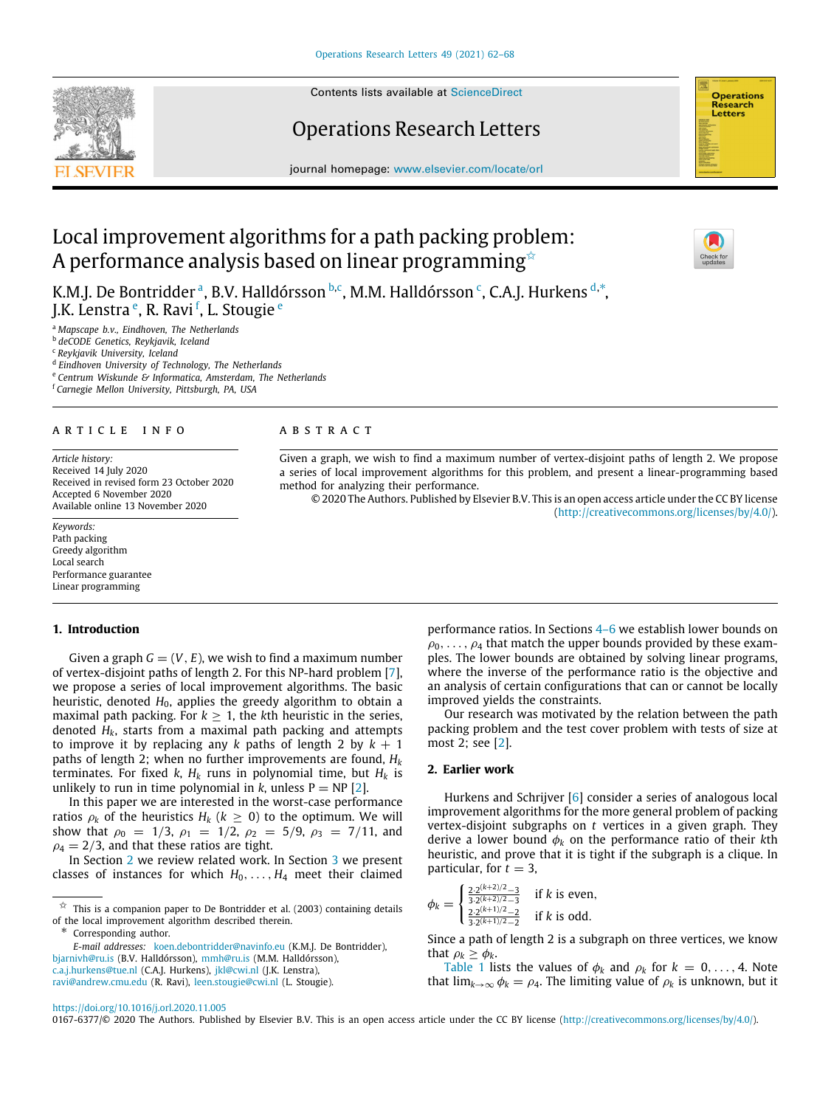Contents lists available at [ScienceDirect](http://www.elsevier.com/locate/orl)

# Operations Research Letters

journal homepage: [www.elsevier.com/locate/orl](http://www.elsevier.com/locate/orl)

# Local improvement algorithms for a path packing problem: A performance analysis based on linear programming  $\approx$

K.M.J. De Bontridder <sup>[a](#page-0-1)</sup>, B.V. Halldórsson <sup>[b](#page-0-2),[c](#page-0-3)</sup>, M.M. Hall[d](#page-0-4)órsson <sup>c</sup>, C.A.J. Hurkens <sup>d,\*</sup>, J.K. L[e](#page-0-6)nstra <sup>e</sup>, R. Ravi <sup>[f](#page-0-7)</sup>, L. Stougie <sup>e</sup>

<span id="page-0-1"></span><sup>a</sup> *Mapscape b.v., Eindhoven, The Netherlands*

<span id="page-0-2"></span><sup>b</sup> *deCODE Genetics, Reykjavik, Iceland*

<span id="page-0-3"></span><sup>c</sup> *Reykjavik University, Iceland*

<span id="page-0-4"></span>d *Eindhoven University of Technology, The Netherlands*

<span id="page-0-6"></span><sup>e</sup> *Centrum Wiskunde & Informatica, Amsterdam, The Netherlands*

<span id="page-0-7"></span><sup>f</sup> *Carnegie Mellon University, Pittsburgh, PA, USA*

#### ARTICLE INFO

*Article history:* Received 14 July 2020 Received in revised form 23 October 2020 Accepted 6 November 2020 Available online 13 November 2020

*Keywords:* Path packing Greedy algorithm Local search Performance guarantee Linear programming

## **1. Introduction**

Given a graph  $G = (V, E)$ , we wish to find a maximum number of vertex-disjoint paths of length 2. For this NP-hard problem [[7\]](#page-6-0), we propose a series of local improvement algorithms. The basic heuristic, denoted H<sub>0</sub>, applies the greedy algorithm to obtain a maximal path packing. For  $k > 1$ , the kth heuristic in the series, denoted *Hk*, starts from a maximal path packing and attempts to improve it by replacing any *k* paths of length 2 by  $k + 1$ paths of length 2; when no further improvements are found, *H<sup>k</sup>* terminates. For fixed *k*,  $H_k$  runs in polynomial time, but  $H_k$  is unlikely to run in time polynomial in *k*, unless  $P = NP [2]$  $P = NP [2]$ .

In this paper we are interested in the worst-case performance ratios  $\rho_k$  of the heuristics  $H_k$  ( $k \geq 0$ ) to the optimum. We will show that  $\rho_0 = 1/3$ ,  $\rho_1 = 1/2$ ,  $\rho_2 = 5/9$ ,  $\rho_3 = 7/11$ , and  $\rho_4 = 2/3$ , and that these ratios are tight.

In Section [2](#page-0-8) we review related work. In Section [3](#page-1-0) we present classes of instances for which  $H_0, \ldots, H_4$  meet their claimed

<span id="page-0-5"></span>∗ Corresponding author.

[ravi@andrew.cmu.edu](mailto:ravi@andrew.cmu.edu) (R. Ravi), [leen.stougie@cwi.nl](mailto:leen.stougie@cwi.nl) (L. Stougie).

#### A B S T R A C T

Given a graph, we wish to find a maximum number of vertex-disjoint paths of length 2. We propose a series of local improvement algorithms for this problem, and present a linear-programming based method for analyzing their performance.

© 2020 The Authors. Published by Elsevier B.V. This is an open access article under the CC BY license [\(http://creativecommons.org/licenses/by/4.0/](http://creativecommons.org/licenses/by/4.0/)).

> performance ratios. In Sections [4–](#page-1-1)[6](#page-3-0) we establish lower bounds on  $\rho_0, \ldots, \rho_4$  that match the upper bounds provided by these examples. The lower bounds are obtained by solving linear programs, where the inverse of the performance ratio is the objective and an analysis of certain configurations that can or cannot be locally improved yields the constraints.

> Our research was motivated by the relation between the path packing problem and the test cover problem with tests of size at most 2; see [\[2\]](#page-6-1).

### **2. Earlier work**

<span id="page-0-8"></span>Hurkens and Schrijver [\[6](#page-6-2)] consider a series of analogous local improvement algorithms for the more general problem of packing vertex-disjoint subgraphs on *t* vertices in a given graph. They derive a lower bound φ*<sup>k</sup>* on the performance ratio of their *k*th heuristic, and prove that it is tight if the subgraph is a clique. In particular, for  $t = 3$ ,

$$
\phi_k = \begin{cases} \frac{2 \cdot 2^{(k+2)/2} - 3}{3 \cdot 2^{(k+2)/2} - 3} & \text{if } k \text{ is even,} \\ \frac{2 \cdot 2^{(k+1)/2} - 2}{3 \cdot 2^{(k+1)/2} - 2} & \text{if } k \text{ is odd.} \end{cases}
$$

Since a path of length 2 is a subgraph on three vertices, we know that  $\rho_k \geq \phi_k$ .

[Table](#page-1-2) [1](#page-1-2) lists the values of  $\phi_k$  and  $\rho_k$  for  $k = 0, \ldots, 4$ . Note that  $\lim_{k\to\infty} \phi_k = \rho_4$ . The limiting value of  $\rho_k$  is unknown, but it

<https://doi.org/10.1016/j.orl.2020.11.005>

0167-6377/© 2020 The Authors. Published by Elsevier B.V. This is an open access article under the CC BY license ([http://creativecommons.org/licenses/by/4.0/\)](http://creativecommons.org/licenses/by/4.0/).

<span id="page-0-9"></span>



<span id="page-0-0"></span> $\overrightarrow{x}$  This is a companion paper to De Bontridder et al. (2003) containing details of the local improvement algorithm described therein.

*E-mail addresses:* [koen.debontridder@navinfo.eu](mailto:koen.debontridder@navinfo.eu) (K.M.J. De Bontridder), [bjarnivh@ru.is](mailto:bjarnivh@ru.is) (B.V. Halldórsson), [mmh@ru.is](mailto:mmh@ru.is) (M.M. Halldórsson), [c.a.j.hurkens@tue.nl](mailto:c.a.j.hurkens@tue.nl) (C.A.J. Hurkens), [jkl@cwi.nl](mailto:jkl@cwi.nl) (J.K. Lenstra),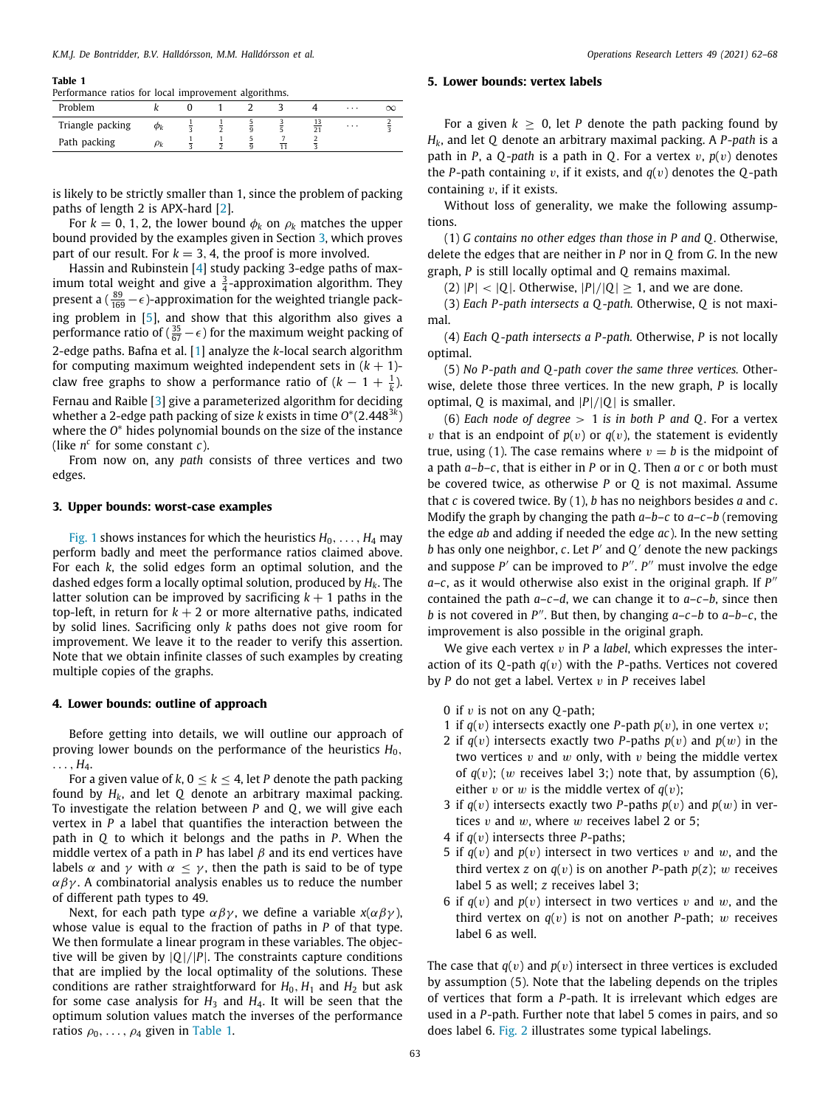#### **Table 1**

<span id="page-1-2"></span>

|  |  | Performance ratios for local improvement algorithms. |  |
|--|--|------------------------------------------------------|--|
|  |  |                                                      |  |
|  |  |                                                      |  |

| Problem          |    |  |  | $\cdots$ |  |
|------------------|----|--|--|----------|--|
| Triangle packing | Φĸ |  |  | $\cdots$ |  |
| Path packing     |    |  |  |          |  |

is likely to be strictly smaller than 1, since the problem of packing paths of length 2 is APX-hard [[2\]](#page-6-1).

For  $k = 0, 1, 2$ , the lower bound  $\phi_k$  on  $\rho_k$  matches the upper bound provided by the examples given in Section [3](#page-1-0), which proves part of our result. For  $k = 3, 4$ , the proof is more involved.

Hassin and Rubinstein [\[4](#page-6-3)] study packing 3-edge paths of maximum total weight and give a  $\frac{3}{4}$ -approximation algorithm. They present a ( $\frac{89}{169} - \epsilon$ )-approximation for the weighted triangle packing problem in [[5\]](#page-6-4), and show that this algorithm also gives a performance ratio of ( $\frac{35}{67} - \epsilon$ ) for the maximum weight packing of 2-edge paths. Bafna et al. [\[1](#page-6-5)] analyze the *k*-local search algorithm for computing maximum weighted independent sets in  $(k + 1)$ claw free graphs to show a performance ratio of  $(k-1+\frac{1}{k})$ . Fernau and Raible [\[3\]](#page-6-6) give a parameterized algorithm for deciding whether a 2-edge path packing of size *k* exists in time *O* ∗ (2.448<sup>3</sup>*<sup>k</sup>* ) where the *O* <sup>∗</sup> hides polynomial bounds on the size of the instance (like  $n^c$  for some constant  $c$ ).

From now on, any *path* consists of three vertices and two edges.

### **3. Upper bounds: worst-case examples**

<span id="page-1-0"></span>[Fig.](#page-2-0) [1](#page-2-0) shows instances for which the heuristics  $H_0, \ldots, H_4$  may perform badly and meet the performance ratios claimed above. For each *k*, the solid edges form an optimal solution, and the dashed edges form a locally optimal solution, produced by *Hk*. The latter solution can be improved by sacrificing  $k + 1$  paths in the top-left, in return for  $k + 2$  or more alternative paths, indicated by solid lines. Sacrificing only *k* paths does not give room for improvement. We leave it to the reader to verify this assertion. Note that we obtain infinite classes of such examples by creating multiple copies of the graphs.

### **4. Lower bounds: outline of approach**

<span id="page-1-1"></span>Before getting into details, we will outline our approach of proving lower bounds on the performance of the heuristics  $H_0$ ,  $\ldots$ ,  $H_4$ .

For a given value of  $k, 0 \le k \le 4$ , let P denote the path packing found by *Hk*, and let *Q* denote an arbitrary maximal packing. To investigate the relation between *P* and *Q*, we will give each vertex in *P* a label that quantifies the interaction between the path in *Q* to which it belongs and the paths in *P*. When the middle vertex of a path in *P* has label  $\beta$  and its end vertices have labels  $\alpha$  and  $\gamma$  with  $\alpha \leq \gamma$ , then the path is said to be of type  $\alpha\beta\gamma$ . A combinatorial analysis enables us to reduce the number of different path types to 49.

Next, for each path type  $\alpha\beta\gamma$ , we define a variable  $x(\alpha\beta\gamma)$ , whose value is equal to the fraction of paths in *P* of that type. We then formulate a linear program in these variables. The objective will be given by |*Q*|/|*P*|. The constraints capture conditions that are implied by the local optimality of the solutions. These conditions are rather straightforward for  $H_0$ ,  $H_1$  and  $H_2$  but ask for some case analysis for  $H_3$  and  $H_4$ . It will be seen that the optimum solution values match the inverses of the performance ratios  $\rho_0, \ldots, \rho_4$  given in [Table](#page-1-2) [1](#page-1-2).

# **5. Lower bounds: vertex labels**

For a given  $k > 0$ , let *P* denote the path packing found by *Hk*, and let *Q* denote an arbitrary maximal packing. A *P*-*path* is a path in *P*, a *Q*-*path* is a path in *Q*. For a vertex v, *p*(v) denotes the *P*-path containing v, if it exists, and  $q(v)$  denotes the *Q*-path containing  $v$ , if it exists.

Without loss of generality, we make the following assumptions.

(1) *G contains no other edges than those in P and Q .* Otherwise, delete the edges that are neither in *P* nor in *Q* from *G*. In the new graph, *P* is still locally optimal and *Q* remains maximal.

(2)  $|P| < |Q|$ . Otherwise,  $|P|/|Q| \ge 1$ , and we are done.

(3) *Each P-path intersects a Q -path.* Otherwise, *Q* is not maximal.

(4) *Each Q -path intersects a P-path.* Otherwise, *P* is not locally optimal.

(5) *No P-path and Q -path cover the same three vertices.* Otherwise, delete those three vertices. In the new graph, *P* is locally optimal, *Q* is maximal, and |*P*|/|*Q*| is smaller.

(6) *Each node of degree* > 1 *is in both P and Q*. For a vertex *v* that is an endpoint of  $p(v)$  or  $q(v)$ , the statement is evidently true, using (1). The case remains where  $v = b$  is the midpoint of a path *a*–*b*–*c*, that is either in *P* or in *Q*. Then *a* or *c* or both must be covered twice, as otherwise *P* or *Q* is not maximal. Assume that *c* is covered twice. By (1), *b* has no neighbors besides *a* and *c*. Modify the graph by changing the path *a*–*b*–*c* to *a*–*c*–*b* (removing the edge *ab* and adding if needed the edge *ac*). In the new setting *b* has only one neighbor, *c*. Let *P* ′ and *Q* ′ denote the new packings and suppose  $P'$  can be improved to  $P''$ .  $P''$  must involve the edge a-c, as it would otherwise also exist in the original graph. If  $P''$ contained the path *a*–*c*–*d*, we can change it to *a*–*c*–*b*, since then *b* is not covered in *P* ′′. But then, by changing *a*–*c*–*b* to *a*–*b*–*c*, the improvement is also possible in the original graph.

We give each vertex v in *P* a *label*, which expresses the interaction of its *Q*-path *q*(v) with the *P*-paths. Vertices not covered by *P* do not get a label. Vertex v in *P* receives label

- 0 if v is not on any *Q*-path;
- 1 if  $q(v)$  intersects exactly one *P*-path  $p(v)$ , in one vertex v;
- 2 if  $q(v)$  intersects exactly two *P*-paths  $p(v)$  and  $p(w)$  in the two vertices  $v$  and  $w$  only, with  $v$  being the middle vertex of  $q(v)$ ; (w receives label 3;) note that, by assumption (6), either v or w is the middle vertex of  $q(v)$ ;
- 3 if  $q(v)$  intersects exactly two *P*-paths  $p(v)$  and  $p(w)$  in vertices  $v$  and  $w$ , where  $w$  receives label 2 or 5;
- 4 if *q*(v) intersects three *P*-paths;
- 5 if  $q(v)$  and  $p(v)$  intersect in two vertices v and w, and the third vertex *z* on  $q(v)$  is on another *P*-path  $p(z)$ ; w receives label 5 as well; *z* receives label 3;
- 6 if  $q(v)$  and  $p(v)$  intersect in two vertices v and w, and the third vertex on  $q(v)$  is not on another *P*-path; w receives label 6 as well.

The case that  $q(v)$  and  $p(v)$  intersect in three vertices is excluded by assumption (5). Note that the labeling depends on the triples of vertices that form a *P*-path. It is irrelevant which edges are used in a *P*-path. Further note that label 5 comes in pairs, and so does label 6. [Fig.](#page-2-1) [2](#page-2-1) illustrates some typical labelings.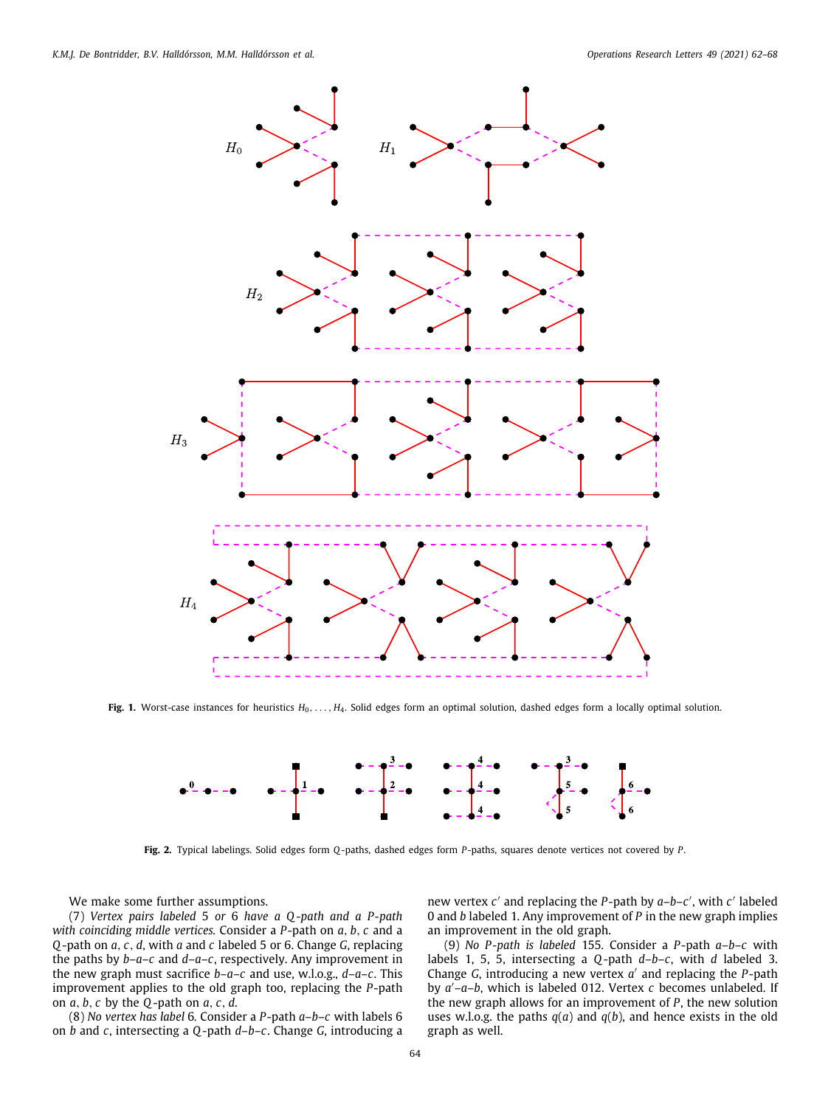

<span id="page-2-0"></span>Fig. 1. Worst-case instances for heuristics  $H_0, \ldots, H_4$ . Solid edges form an optimal solution, dashed edges form a locally optimal solution.



**Fig. 2.** Typical labelings. Solid edges form *Q*-paths, dashed edges form *P*-paths, squares denote vertices not covered by *P*.

<span id="page-2-1"></span>We make some further assumptions.

(7) *Vertex pairs labeled* 5 *or* 6 *have a Q -path and a P-path with coinciding middle vertices.* Consider a *P*-path on *a*, *b*, *c* and a *Q*-path on *a*, *c*, *d*, with *a* and *c* labeled 5 or 6. Change *G*, replacing the paths by *b*–*a*–*c* and *d*–*a*–*c*, respectively. Any improvement in the new graph must sacrifice *b*–*a*–*c* and use, w.l.o.g., *d*–*a*–*c*. This improvement applies to the old graph too, replacing the *P*-path on *a*, *b*, *c* by the *Q*-path on *a*, *c*, *d*.

(8) *No vertex has label* 6*.* Consider a *P*-path *a*–*b*–*c* with labels 6 on *b* and *c*, intersecting a *Q*-path *d*–*b*–*c*. Change *G*, introducing a

new vertex *c'* and replacing the *P*-path by *a*-*b*-*c'*, with *c'* labeled 0 and *b* labeled 1. Any improvement of *P* in the new graph implies an improvement in the old graph.

(9) *No P-path is labeled* 155*.* Consider a *P*-path *a*–*b*–*c* with labels 1, 5, 5, intersecting a *Q*-path *d*–*b*–*c*, with *d* labeled 3. Change *G*, introducing a new vertex *a* ′ and replacing the *P*-path by *a* ′–*a*–*b*, which is labeled 012. Vertex *c* becomes unlabeled. If the new graph allows for an improvement of *P*, the new solution uses w.l.o.g. the paths *q*(*a*) and *q*(*b*), and hence exists in the old graph as well.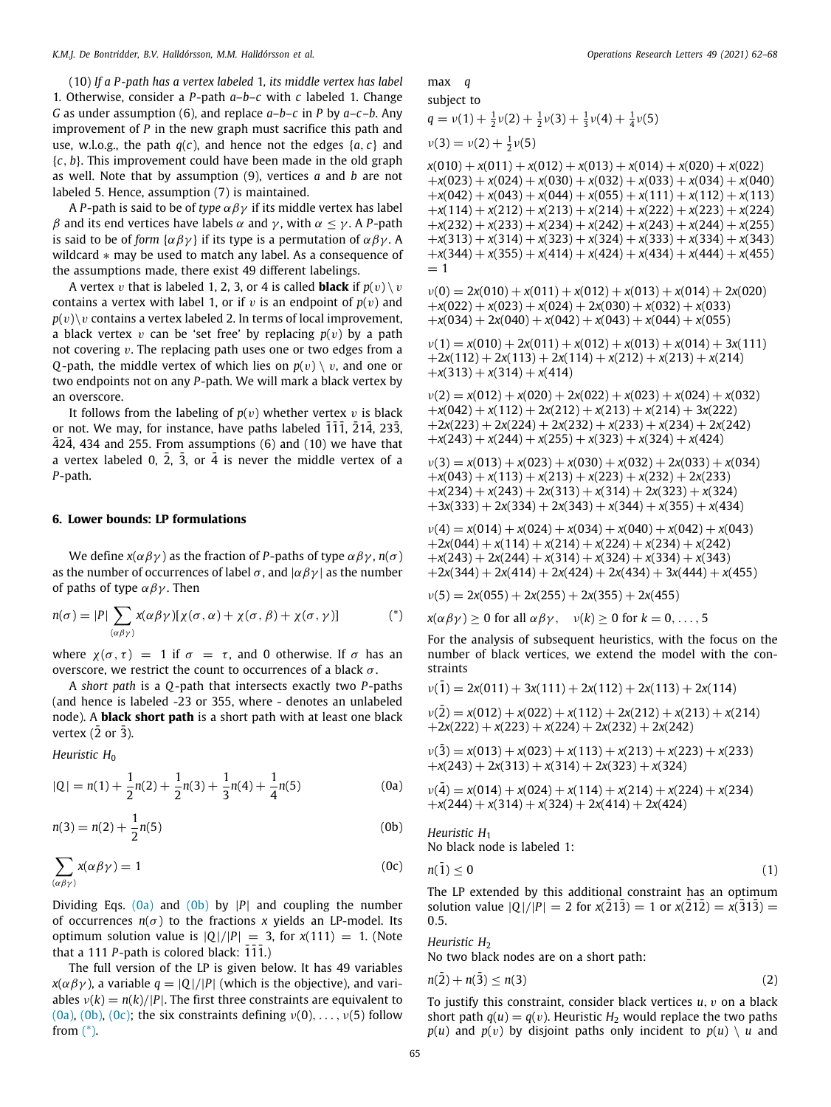(10) *If a P-path has a vertex labeled* 1*, its middle vertex has label* 1*.* Otherwise, consider a *P*-path *a*–*b*–*c* with *c* labeled 1. Change *G* as under assumption (6), and replace *a*–*b*–*c* in *P* by *a*–*c*–*b*. Any improvement of *P* in the new graph must sacrifice this path and use, w.l.o.g., the path  $q(c)$ , and hence not the edges  $\{a, c\}$  and {*c*, *b*}. This improvement could have been made in the old graph as well. Note that by assumption (9), vertices *a* and *b* are not labeled 5. Hence, assumption (7) is maintained.

A *P*-path is said to be of *type*  $\alpha \beta \gamma$  if its middle vertex has label β and its end vertices have labels  $\alpha$  and  $\gamma$ , with  $\alpha \leq \gamma$ . A P-path is said to be of *form*  $\{\alpha \beta \gamma\}$  if its type is a permutation of  $\alpha \beta \gamma$ . A wildcard ∗ may be used to match any label. As a consequence of the assumptions made, there exist 49 different labelings.

A vertex v that is labeled 1, 2, 3, or 4 is called **black** if  $p(v) \setminus v$ contains a vertex with label 1, or if  $v$  is an endpoint of  $p(v)$  and  $p(v)\$  contains a vertex labeled 2. In terms of local improvement, a black vertex  $v$  can be 'set free' by replacing  $p(v)$  by a path not covering  $v$ . The replacing path uses one or two edges from a *Q*-path, the middle vertex of which lies on  $p(v) \setminus v$ , and one or two endpoints not on any *P*-path. We will mark a black vertex by an overscore.

It follows from the labeling of  $p(v)$  whether vertex v is black or not. We may, for instance, have paths labeled  $\overline{111}$ ,  $\overline{214}$ , 233,  $\overline{424}$ , 434 and 255. From assumptions (6) and (10) we have that a vertex labeled 0,  $\overline{2}$ ,  $\overline{3}$ , or  $\overline{4}$  is never the middle vertex of a *P*-path.

#### **6. Lower bounds: LP formulations**

<span id="page-3-0"></span>We define  $x(\alpha \beta \gamma)$  as the fraction of *P*-paths of type  $\alpha \beta \gamma$ ,  $n(\sigma)$ as the number of occurrences of label  $\sigma$ , and  $|\alpha \beta \gamma|$  as the number of paths of type  $\alpha\beta\gamma$ . Then

$$
n(\sigma) = |P| \sum_{(\alpha \beta \gamma)} x(\alpha \beta \gamma) [\chi(\sigma, \alpha) + \chi(\sigma, \beta) + \chi(\sigma, \gamma)] \tag{*}
$$

where  $\chi(\sigma, \tau) = 1$  if  $\sigma = \tau$ , and 0 otherwise. If  $\sigma$  has an overscore, we restrict the count to occurrences of a black  $\sigma$ .

A *short path* is a *Q*-path that intersects exactly two *P*-paths (and hence is labeled -23 or 355, where - denotes an unlabeled node). A **black short path** is a short path with at least one black vertex  $(\overline{2}$  or  $\overline{3})$ .

*Heuristic H*<sup>0</sup>

$$
|Q| = n(1) + \frac{1}{2}n(2) + \frac{1}{2}n(3) + \frac{1}{3}n(4) + \frac{1}{4}n(5)
$$
 (0a)

$$
n(3) = n(2) + \frac{1}{2}n(5)
$$
 (0b)

$$
\sum_{(\alpha\beta\gamma)} x(\alpha\beta\gamma) = 1 \tag{0c}
$$

Dividing Eqs. ([0a\)](#page-3-1) and [\(0b\)](#page-3-2) by |*P*| and coupling the number of occurrences  $n(\sigma)$  to the fractions x yields an LP-model. Its optimum solution value is  $|Q|/|P| = 3$ , for  $x(111) = 1$ . (Note that a  $111$  *P*-path is colored black:  $111$ .)

The full version of the LP is given below. It has 49 variables *x*( $\alpha \beta \gamma$ ), a variable *q* = |Q|/|*P*| (which is the objective), and variables  $v(k) = n(k)/|P|$ . The first three constraints are equivalent to ([0a\)](#page-3-1), ([0b](#page-3-2)), [\(0c](#page-3-3)); the six constraints defining  $v(0), \ldots, v(5)$  follow from ([\\*](#page-3-4)).

max *q*  
\nsubject to  
\n
$$
q = v(1) + \frac{1}{2}v(2) + \frac{1}{2}v(3) + \frac{1}{3}v(4) + \frac{1}{4}v(5)
$$
\n
$$
v(3) = v(2) + \frac{1}{2}v(5)
$$

 $x(010) + x(011) + x(012) + x(013) + x(014) + x(020) + x(022)$  $+x(023) + x(024) + x(030) + x(032) + x(033) + x(034) + x(040)$  $+x(042) + x(043) + x(044) + x(055) + x(111) + x(112) + x(113)$  $+x(114) + x(212) + x(213) + x(214) + x(222) + x(223) + x(224)$  $+x(232) + x(233) + x(234) + x(242) + x(243) + x(244) + x(255)$  $+x(313) + x(314) + x(323) + x(324) + x(333) + x(334) + x(343)$  $+x(344) + x(355) + x(414) + x(424) + x(434) + x(444) + x(455)$  $= 1$ 

 $v(0) = 2x(010) + x(011) + x(012) + x(013) + x(014) + 2x(020)$  $+x(022) + x(023) + x(024) + 2x(030) + x(032) + x(033)$  $+x(034) + 2x(040) + x(042) + x(043) + x(044) + x(055)$ 

 $v(1) = x(010) + 2x(011) + x(012) + x(013) + x(014) + 3x(111)$  $+2x(112) + 2x(113) + 2x(114) + x(212) + x(213) + x(214)$  $+x(313) + x(314) + x(414)$ 

 $v(2) = x(012) + x(020) + 2x(022) + x(023) + x(024) + x(032)$  $+x(042) + x(112) + 2x(212) + x(213) + x(214) + 3x(222)$  $+2x(223) + 2x(224) + 2x(232) + x(233) + x(234) + 2x(242)$  $+x(243) + x(244) + x(255) + x(323) + x(324) + x(424)$ 

 $v(3) = x(013) + x(023) + x(030) + x(032) + 2x(033) + x(034)$ +*x*(043) + *x*(113) + *x*(213) + *x*(223) + *x*(232) + 2*x*(233)  $+x(234) + x(243) + 2x(313) + x(314) + 2x(323) + x(324)$  $+3x(333) + 2x(334) + 2x(343) + x(344) + x(355) + x(434)$ 

 $v(4) = x(014) + x(024) + x(034) + x(040) + x(042) + x(043)$  $+2x(044) + x(114) + x(214) + x(224) + x(234) + x(242)$  $+x(243) + 2x(244) + x(314) + x(324) + x(334) + x(343)$  $+2x(344) + 2x(414) + 2x(424) + 2x(434) + 3x(444) + x(455)$ 

 $\nu(5) = 2x(055) + 2x(255) + 2x(355) + 2x(455)$ 

<span id="page-3-4"></span>
$$
x(\alpha \beta \gamma) \ge 0
$$
 for all  $\alpha \beta \gamma$ ,  $v(k) \ge 0$  for  $k = 0, ..., 5$ 

For the analysis of subsequent heuristics, with the focus on the number of black vertices, we extend the model with the constraints

$$
v(1) = 2x(011) + 3x(111) + 2x(112) + 2x(113) + 2x(114)
$$

 $v(2) = x(012) + x(022) + x(112) + 2x(212) + x(213) + x(214)$  $+2x(222) + x(223) + x(224) + 2x(232) + 2x(242)$ 

 $v(3) = x(013) + x(023) + x(113) + x(213) + x(223) + x(233)$  $+x(243) + 2x(313) + x(314) + 2x(323) + x(324)$ 

<span id="page-3-1"></span>
$$
\nu(\bar{4}) = x(014) + x(024) + x(114) + x(214) + x(224) + x(234) + x(244) + x(314) + x(324) + 2x(414) + 2x(424)
$$

<span id="page-3-2"></span>*Heuristic H*<sup>1</sup> No black node is labeled 1:

<span id="page-3-3"></span>
$$
n(\bar{1}) \leq 0 \tag{1}
$$

The LP extended by this additional constraint has an optimum solution value  $|Q|/|P| = 2$  for  $x(213) = 1$  or  $x(212) = x(313) =$ 0.5.

*Heuristic H*<sup>2</sup>

No two black nodes are on a short path:

$$
n(\bar{2}) + n(\bar{3}) \le n(3) \tag{2}
$$

To justify this constraint, consider black vertices *u*, v on a black short path  $q(u) = q(v)$ . Heuristic  $H_2$  would replace the two paths  $p(u)$  and  $p(v)$  by disjoint paths only incident to  $p(u) \setminus u$  and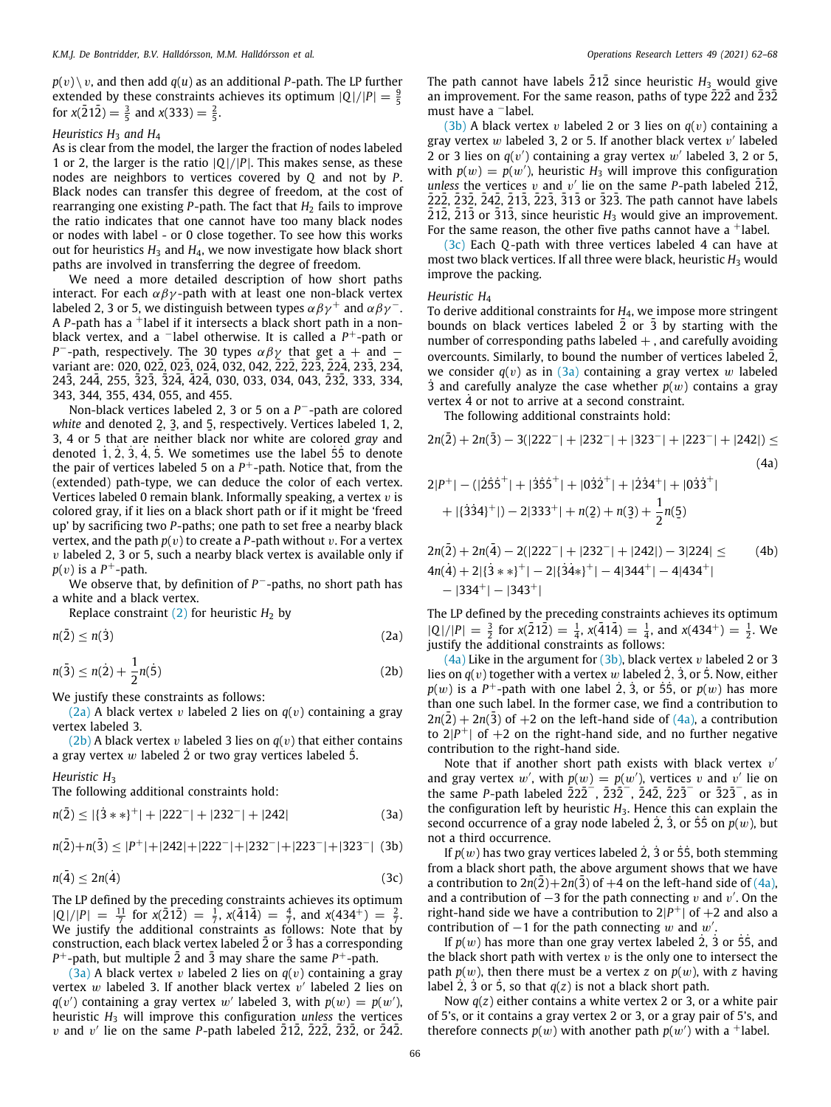$p(v) \setminus v$ , and then add  $q(u)$  as an additional *P*-path. The LP further extended by these constraints achieves its optimum  $|Q|/|P| = \frac{9}{5}$ for  $x(212) = \frac{3}{5}$  and  $x(333) = \frac{2}{5}$ .

## *Heuristics H*<sup>3</sup> *and H*<sup>4</sup>

As is clear from the model, the larger the fraction of nodes labeled 1 or 2, the larger is the ratio  $|Q|/|P|$ . This makes sense, as these nodes are neighbors to vertices covered by *Q* and not by *P*. Black nodes can transfer this degree of freedom, at the cost of rearranging one existing  $P$ -path. The fact that  $H_2$  fails to improve the ratio indicates that one cannot have too many black nodes or nodes with label - or 0 close together. To see how this works out for heuristics  $H_3$  and  $H_4$ , we now investigate how black short paths are involved in transferring the degree of freedom.

We need a more detailed description of how short paths interact. For each  $\alpha\beta\gamma$ -path with at least one non-black vertex labeled 2, 3 or 5, we distinguish between types  $\alpha \beta \gamma^+$  and  $\alpha \beta \gamma^-$ . A *P*-path has a <sup>+</sup>label if it intersects a black short path in a nonblack vertex, and a <sup>−</sup>label otherwise. It is called a *P* <sup>+</sup>-path or *P*<sup>-</sup>-path, respectively. The 30 types  $\alpha\beta\gamma$  that get a + and − variant are: 020, 022, 023, 024, 032, 042, 222, 223, 224, 233, 234, 243, 244, 255, 323, 324, 424, 030, 033, 034, 043, 232, 333, 334, 343, 344, 355, 434, 055, and 455.

Non-black vertices labeled 2, 3 or 5 on a *P* <sup>−</sup>-path are colored white and denoted 2, 3, and 5, respectively. Vertices labeled 1, 2, 3, 4 or 5 that are neither black nor white are colored *gray* and denoted  $1, 2, 3, 4, 5$ . We sometimes use the label  $55$  to denote the pair of vertices labeled 5 on a *P* <sup>+</sup>-path. Notice that, from the (extended) path-type, we can deduce the color of each vertex. Vertices labeled 0 remain blank. Informally speaking, a vertex  $v$  is colored gray, if it lies on a black short path or if it might be 'freed up' by sacrificing two *P*-paths; one path to set free a nearby black vertex, and the path  $p(v)$  to create a *P*-path without v. For a vertex  $v$  labeled 2, 3 or 5, such a nearby black vertex is available only if  $p(v)$  is a  $P^+$ -path.

We observe that, by definition of *P* <sup>−</sup>-paths, no short path has a white and a black vertex.

Replace constraint  $(2)$  $(2)$  for heuristic  $H_2$  by

 $n(\bar{2}) \leq n(\dot{3})$ <sup>(2a)</sup>

 $n(\bar{3}) \leq n(\dot{2}) + \frac{1}{2}$ 2 *n*(5)˙ (2b)

We justify these constraints as follows:

([2a\)](#page-4-0) A black vertex v labeled 2 lies on  $q(v)$  containing a gray vertex labeled 3.

 $(2b)$  $(2b)$  $(2b)$  A black vertex v labeled 3 lies on  $q(v)$  that either contains a gray vertex  $w$  labeled 2 or two gray vertices labeled 5.

*Heuristic H*<sup>3</sup>

The following additional constraints hold:

$$
n(\bar{2}) \leq |\{3**\}^+| + |222^-| + |232^-| + |242| \tag{3a}
$$

$$
n(\bar{2})+n(\bar{3}) \le |P^+|+|242|+|222^-|+|232^-|+|223^-|+|323^-|
$$
 (3b)

$$
n(\bar{4}) \le 2n(\dot{4}) \tag{3c}
$$

The LP defined by the preceding constraints achieves its optimum  $|Q|/|P| = \frac{11}{7}$  for  $x(212) = \frac{1}{7}$ ,  $x(414) = \frac{4}{7}$ , and  $x(434^+) = \frac{2}{7}$ . We justify the additional constraints as follows: Note that by construction, each black vertex labeled 2 or 3 has a corresponding  $P^+$ -path, but multiple 2 and 3 may share the same  $P^+$ -path.

 $(3a)$  $(3a)$  A black vertex v labeled 2 lies on  $q(v)$  containing a gray vertex  $w$  labeled 3. If another black vertex  $v'$  labeled 2 lies on  $q(v')$  containing a gray vertex w' labeled 3, with  $p(w) = p(w')$ , heuristic *H*<sup>3</sup> will improve this configuration *unless* the vertices  $v$  and  $v'$  lie on the same *P*-path labeled  $\overline{2}1\overline{2}$ ,  $\overline{2}2\overline{2}$ ,  $\overline{2}3\overline{2}$ , or  $\overline{2}4\overline{2}$ .

The path cannot have labels  $21\overline{2}$  since heuristic  $H_3$  would give an improvement. For the same reason, paths of type  $\overline{2}2\overline{2}$  and  $\overline{2}3\overline{2}$ must have a <sup>−</sup>label.

([3b](#page-4-3)) A black vertex v labeled 2 or 3 lies on  $q(v)$  containing a gray vertex  $w$  labeled 3, 2 or 5. If another black vertex  $v'$  labeled 2 or 3 lies on  $q(v')$  containing a gray vertex  $w'$  labeled 3, 2 or 5, with  $p(w) = p(w')$ , heuristic  $H_3$  will improve this configuration *unless* the vertices  $v$  and  $v'$  lie on the same *P*-path labeled  $\overline{2}1\overline{2}$ ,  $22\overline{2}$ ,  $\overline{2}3\overline{2}$ ,  $\overline{2}4\overline{2}$ ,  $\overline{2}1\overline{3}$ ,  $\overline{2}2\overline{3}$ ,  $\overline{3}1\overline{3}$  or  $\overline{3}2\overline{3}$ . The path cannot have labels  $\overline{2}1\overline{2}$ ,  $\overline{2}1\overline{3}$  or  $\overline{3}1\overline{3}$ , since heuristic  $H_3$  would give an improvement. For the same reason, the other five paths cannot have a  $\dagger$ label.

([3c](#page-4-4)) Each *Q*-path with three vertices labeled 4 can have at most two black vertices. If all three were black, heuristic *H*<sub>3</sub> would improve the packing.

# *Heuristic H*<sup>4</sup>

To derive additional constraints for *H*4, we impose more stringent bounds on black vertices labeled 2 or 3 by starting with the number of corresponding paths labeled  $+$ , and carefully avoiding overcounts. Similarly, to bound the number of vertices labeled 2, we consider  $q(v)$  as in  $(3a)$  $(3a)$  $(3a)$  containing a gray vertex w labeled 3 and carefully analyze the case whether  $p(w)$  contains a gray vertex  $\dot{4}$  or not to arrive at a second constraint.

<span id="page-4-5"></span>The following additional constraints hold:

$$
2n(\bar{2}) + 2n(\bar{3}) - 3(|222^{-}| + |232^{-}| + |323^{-}| + |223^{-}| + |242|) \leq
$$
\n(4a)  
\n
$$
2|P^{+}| - (|\dot{2}\dot{5}\dot{5}^{+}| + |\dot{3}\dot{5}\dot{5}^{+}| + |0\dot{3}\dot{2}^{+}| + |\dot{2}\dot{3}4^{+}| + |0\dot{3}\dot{3}^{+}|
$$
\n
$$
+ |{\dot{3}}\dot{3}4\rangle^{+}|) - 2|333^{+}| + n(\underline{2}) + n(\underline{3}) + \frac{1}{2}n(\underline{5})
$$

<span id="page-4-6"></span>
$$
2n(\bar{2}) + 2n(\bar{4}) - 2(|222^{-}| + |232^{-}| + |242|) - 3|224| \le 4n(\bar{4}) + 2|\{\bar{3} \ast \ast\}^{+}| - 2|\{\bar{3} \dot{4} \ast\}^{+}| - 4|344^{+}| - 4|434^{+}| - |334^{+}| - |343^{+}|
$$

<span id="page-4-0"></span>The LP defined by the preceding constraints achieves its optimum  $|Q|/|P| = \frac{3}{2}$  for  $x(212) = \frac{1}{4}$ ,  $x(414) = \frac{1}{4}$ , and  $x(434^+) = \frac{1}{2}$ . We justify the additional constraints as follows:

<span id="page-4-1"></span> $(4a)$  $(4a)$  Like in the argument for  $(3b)$ , black vertex v labeled 2 or 3 lies on  $q(v)$  together with a vertex w labeled 2, 3, or 5. Now, either  $p(w)$  is a  $P^+$ -path with one label 2, 3, or 55, or  $p(w)$  has more than one such label. In the former case, we find a contribution to  $2n(2) + 2n(3)$  of  $+2$  on the left-hand side of  $(4a)$  $(4a)$ , a contribution to  $2|P^+|$  of  $+2$  on the right-hand side, and no further negative contribution to the right-hand side.

Note that if another short path exists with black vertex  $v'$ and gray vertex w', with  $p(w) = p(w')$ , vertices v and v' lie on the same *P*-path labeled  $\overline{222}^{-}$ ,  $\overline{232}^{-}$ ,  $\overline{242}$ ,  $\overline{223}^{-}$  or  $\overline{323}^{-}$ , as in the configuration left by heuristic  $H_3$ . Hence this can explain the second occurrence of a gray node labeled  $\dot{2}$ ,  $\dot{3}$ , or  $\dot{5}$   $\dot{5}$  on  $p(w)$ , but not a third occurrence.

<span id="page-4-4"></span><span id="page-4-3"></span><span id="page-4-2"></span>If  $p(w)$  has two gray vertices labeled 2, 3 or 55, both stemming from a black short path, the above argument shows that we have a contribution to  $2n(2) + 2n(3)$  of  $+4$  on the left-hand side of  $(4a)$  $(4a)$ , and a contribution of  $-3$  for the path connecting v and v'. On the right-hand side we have a contribution to  $2|P^+|$  of  $+2$  and also a contribution of  $-1$  for the path connecting w and w'.

If  $p(w)$  has more than one gray vertex labeled  $2$ ,  $3$  or  $55$ , and the black short path with vertex  $v$  is the only one to intersect the path  $p(w)$ , then there must be a vertex *z* on  $p(w)$ , with *z* having label 2,  $\overline{3}$  or  $\overline{5}$ , so that  $q(z)$  is not a black short path.

Now *q*(*z*) either contains a white vertex 2 or 3, or a white pair of 5's, or it contains a gray vertex 2 or 3, or a gray pair of 5's, and therefore connects  $p(w)$  with another path  $p(w')$  with a <sup>+</sup>label.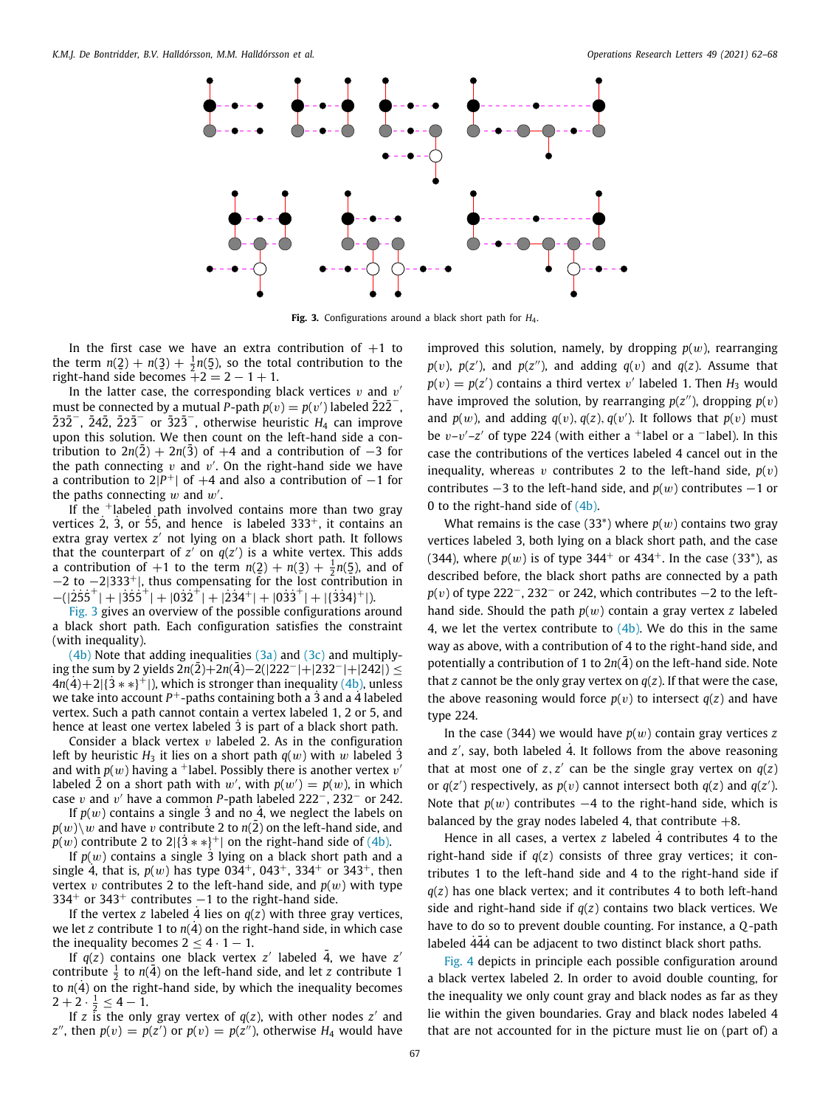

**Fig. 3.** Configurations around a black short path for *H*4.

<span id="page-5-0"></span>In the first case we have an extra contribution of  $+1$  to the term  $n(2) + n(3) + \frac{1}{2}n(5)$ , so the total contribution to the right-hand side becomes  $+2 = 2 - 1 + 1$ .

In the latter case, the corresponding black vertices  $v$  and  $v'$ must be connected by a mutual *P*-path  $p(v) = p(v')$  labeled  $\overline{222}^{-}$ ,  $232^{\degree}$ ,  $242$ ,  $223^{\degree}$  or  $323^{\degree}$ , otherwise heuristic  $H_4$  can improve upon this solution. We then count on the left-hand side a contribution to  $2n(2) + 2n(3)$  of  $+4$  and a contribution of  $-3$  for the path connecting  $v$  and  $v'$ . On the right-hand side we have a contribution to  $2|P^+|$  of  $+4$  and also a contribution of  $-1$  for the paths connecting  $w$  and  $w'$ .

If the  $+$ labeled path involved contains more than two gray vertices  $2$ ,  $3$ , or  $\overline{55}$ , and hence is labeled  $333^+$ , it contains an extra gray vertex *z* ′ not lying on a black short path. It follows that the counterpart of  $z'$  on  $q(z')$  is a white vertex. This adds a contribution of  $+1$  to the term  $n(2) + n(3) + \frac{1}{2}n(5)$ , and of  $-2$  to  $-2|333^+|$ , thus compensating for the lost contribution in  $-(|2\overline{55}^+|+|3\overline{55}^+|+|03\overline{2}^+|+|2\overline{34}^+|+|03\overline{3}^+|+|3\overline{34}^+|).$ 

[Fig.](#page-5-0) [3](#page-5-0) gives an overview of the possible configurations around a black short path. Each configuration satisfies the constraint (with inequality).

 $(4b)$  $(4b)$  $(4b)$  Note that adding inequalities  $(3a)$  $(3a)$  and  $(3c)$  and multiplying the sum by 2 yields  $2n(2)+2n(4)-2(|222^{-}|+|232^{-}|+|242|)$  ≤  $4n(4)+2$ [{3<sup>\*\*</sup>}<sup>+</sup>]), which is stronger than inequality ([4b](#page-4-6)), unless we take into account P<sup>+</sup>-paths containing both a 3 and a 4 labeled vertex. Such a path cannot contain a vertex labeled 1, 2 or 5, and hence at least one vertex labeled  $\overline{3}$  is part of a black short path.

Consider a black vertex  $v$  labeled 2. As in the configuration left by heuristic  $H_3$  it lies on a short path  $q(w)$  with w labeled 3 and with  $p(w)$  having a <sup>+</sup>label. Possibly there is another vertex  $v'$ labeled  $\overline{2}$  on a short path with  $w'$ , with  $p(w') = p(w)$ , in which case v and v ′ have a common *P*-path labeled 222−, 232<sup>−</sup> or 242.

If  $p(w)$  contains a single 3 and no 4, we neglect the labels on  $p(w)\$  *w* and have *v* contribute 2 to *n*(2) on the left-hand side, and *p*(*w*) contribute 2 to 2|{ $3**$ }<sup>+</sup>| on the right-hand side of [\(4b](#page-4-6)).

If  $p(w)$  contains a single 3 lying on a black short path and a single 4, that is,  $p(w)$  has type 034<sup>+</sup>, 043<sup>+</sup>, 334<sup>+</sup> or 343<sup>+</sup>, then vertex v contributes 2 to the left-hand side, and  $p(w)$  with type  $334<sup>+</sup>$  or  $343<sup>+</sup>$  contributes  $-1$  to the right-hand side.

If the vertex *z* labeled 4 lies on  $q(z)$  with three gray vertices, we let *z* contribute 1 to  $n(4)$  on the right-hand side, in which case the inequality becomes  $2 \leq 4 \cdot 1 - 1$ .

If  $q(z)$  contains one black vertex  $z'$  labeled  $\overline{4}$ , we have  $z'$ contribute  $\frac{1}{2}$  to  $n(\overline{4})$  on the left-hand side, and let z contribute 1 to  $n(4)$  on the right-hand side, by which the inequality becomes  $2+2\cdot\frac{1}{2}\leq 4-1.$ 

If *z* is the only gray vertex of  $q(z)$ , with other nodes  $z'$  and *z*<sup>*''*</sup>, then  $p(v) = p(z')$  or  $p(v) = p(z'')$ , otherwise  $H_4$  would have improved this solution, namely, by dropping  $p(w)$ , rearranging  $p(v)$ ,  $p(z')$ , and  $p(z'')$ , and adding  $q(v)$  and  $q(z)$ . Assume that  $p(v) = p(z')$  contains a third vertex v' labeled 1. Then  $H_3$  would have improved the solution, by rearranging  $p(z'')$ , dropping  $p(v)$ and  $p(w)$ , and adding  $q(v)$ ,  $q(z)$ ,  $q(v')$ . It follows that  $p(v)$  must be  $v-v'-z'$  of type 224 (with either a <sup>+</sup>label or a <sup>-</sup>label). In this case the contributions of the vertices labeled 4 cancel out in the inequality, whereas v contributes 2 to the left-hand side,  $p(v)$ contributes  $-3$  to the left-hand side, and  $p(w)$  contributes  $-1$  or 0 to the right-hand side of [\(4b](#page-4-6)).

What remains is the case (33<sup>\*</sup>) where  $p(w)$  contains two gray vertices labeled 3, both lying on a black short path, and the case (344), where  $p(w)$  is of type 344<sup>+</sup> or 434<sup>+</sup>. In the case (33<sup>\*</sup>), as described before, the black short paths are connected by a path *p*(*v*) of type 222<sup>−</sup>, 232<sup>−</sup> or 242, which contributes −2 to the lefthand side. Should the path *p*(w) contain a gray vertex *z* labeled 4, we let the vertex contribute to  $(4b)$  $(4b)$  $(4b)$ . We do this in the same way as above, with a contribution of 4 to the right-hand side, and potentially a contribution of 1 to  $2n(4)$  on the left-hand side. Note that *z* cannot be the only gray vertex on *q*(*z*). If that were the case, the above reasoning would force  $p(v)$  to intersect  $q(z)$  and have type 224.

In the case (344) we would have  $p(w)$  contain gray vertices z and  $z'$ , say, both labeled  $\dot{4}$ . It follows from the above reasoning that at most one of  $z, z'$  can be the single gray vertex on  $q(z)$ or  $q(z')$  respectively, as  $p(v)$  cannot intersect both  $q(z)$  and  $q(z')$ . Note that  $p(w)$  contributes  $-4$  to the right-hand side, which is balanced by the gray nodes labeled 4, that contribute  $+8$ .

Hence in all cases, a vertex  $z$  labeled  $\dot{4}$  contributes  $4$  to the right-hand side if *q*(*z*) consists of three gray vertices; it contributes 1 to the left-hand side and 4 to the right-hand side if *q*(*z*) has one black vertex; and it contributes 4 to both left-hand side and right-hand side if *q*(*z*) contains two black vertices. We have to do so to prevent double counting. For instance, a *Q*-path labeled  $\overline{444}$  can be adjacent to two distinct black short paths.

[Fig.](#page-6-7) [4](#page-6-7) depicts in principle each possible configuration around a black vertex labeled 2. In order to avoid double counting, for the inequality we only count gray and black nodes as far as they lie within the given boundaries. Gray and black nodes labeled 4 that are not accounted for in the picture must lie on (part of) a